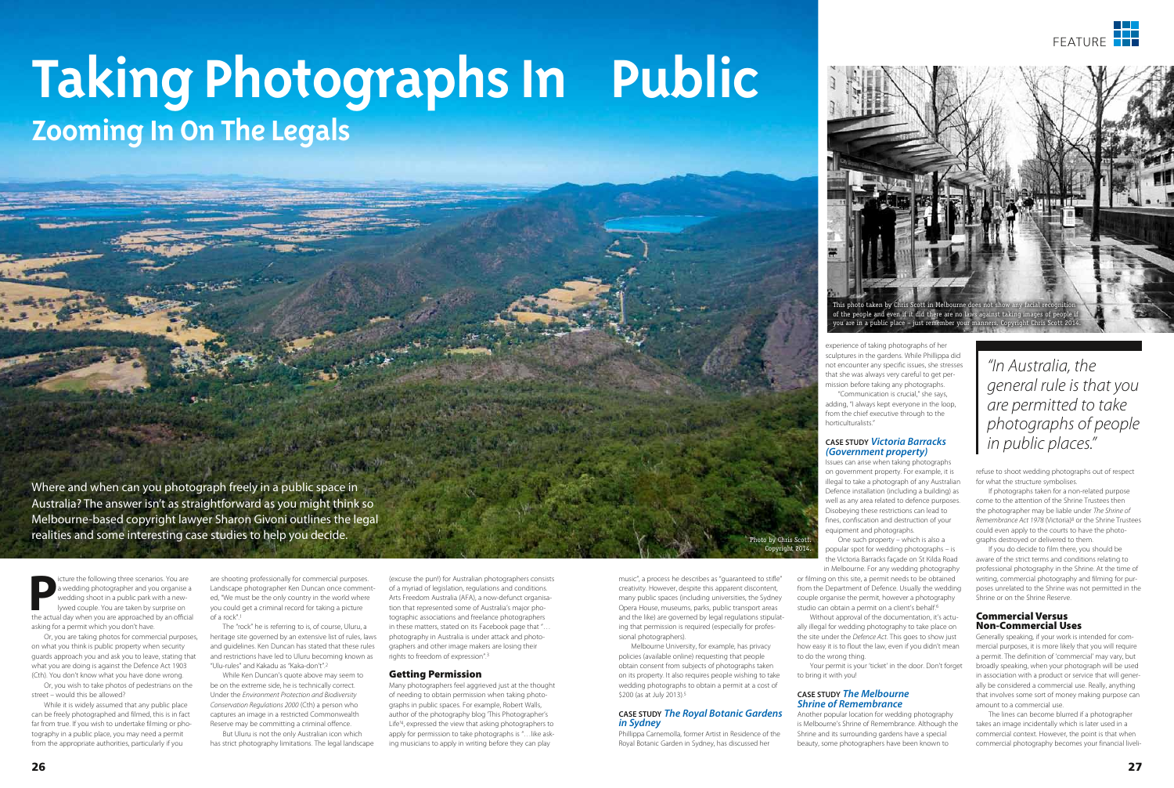**P**icture the following three scenarios. You are wedding photographer and you organise a wedding shoot in a public park with a newlywed couple. You are taken by surprise on the actual day when you are approached by an official asking for a permit which you don't have.

Or, you are taking photos for commercial purposes, on what you think is public property when security guards approach you and ask you to leave, stating that what you are doing is against the Defence Act 1903 (Cth). You don't know what you have done wrong.

Or, you wish to take photos of pedestrians on the street – would this be allowed?

While it is widely assumed that any public place can be freely photographed and filmed, this is in fact far from true. If you wish to undertake filming or photography in a public place, you may need a permit from the appropriate authorities, particularly if you

are shooting professionally for commercial purposes. Landscape photographer Ken Duncan once commented, "We must be the only country in the world where you could get a criminal record for taking a picture of a rock".1

The "rock" he is referring to is, of course, Uluru, a heritage site governed by an extensive list of rules, laws and guidelines. Ken Duncan has stated that these rules and restrictions have led to Uluru becoming known as "Ulu-rules" and Kakadu as "Kaka-don't".2

While Ken Duncan's quote above may seem to be on the extreme side, he is technically correct. Under the *Environment Protection and Biodiversity Conservation Regulations 2000* (Cth) a person who captures an image in a restricted Commonwealth Reserve may be committing a criminal offence.

Melbourne University, for example, has privacy policies (available online) requesting that people obtain consent from subjects of photographs taken on its property. It also requires people wishing to take wedding photographs to obtain a permit at a cost of \$200 (as at July 2013).<sup>5</sup>

But Uluru is not the only Australian icon which has strict photography limitations. The legal landscape

Where and when can you photograph freely in a public space in Australia? The answer isn't as straightforward as you might think so Melbourne-based copyright lawyer Sharon Givoni outlines the legal realities and some interesting case studies to help you decide.

# **Taking Photographs In Public Zooming In On The Legals**



*"In Australia, the general rule is that you are permitted to take photographs of people in public places."* 

in Melbourne. For any wedding photography or filming on this site, a permit needs to be obtained from the Department of Defence. Usually the wedding couple organise the permit, however a photography studio can obtain a permit on a client's behalf.<sup>6</sup>

(excuse the pun!) for Australian photographers consists of a myriad of legislation, regulations and conditions. Arts Freedom Australia (AFA), a now-defunct organisation that represented some of Australia's major photographic associations and freelance photographers in these matters, stated on its Facebook page that "… photography in Australia is under attack and photographers and other image makers are losing their rights to freedom of expression".3

#### Getting Permission

Many photographers feel aggrieved just at the thought of needing to obtain permission when taking photographs in public spaces. For example, Robert Walls, author of the photography blog 'This Photographer's Life'4, expressed the view that asking photographers to apply for permission to take photographs is "…like asking musicians to apply in writing before they can play

music", a process he describes as "guaranteed to stifle" creativity. However, despite this apparent discontent, many public spaces (including universities, the Sydney Opera House, museums, parks, public transport areas and the like) are governed by legal regulations stipulating that permission is required (especially for professional photographers).

Photo by Chris Scott. vright 2014.

## **CASE STUDY** *The Royal Botanic Gardens in Sydney*

Phillippa Carnemolla, former Artist in Residence of the Royal Botanic Garden in Sydney, has discussed her

experience of taking photographs of her sculptures in the gardens. While Phillippa did not encounter any specific issues, she stresses that she was always very careful to get permission before taking any photographs.

"Communication is crucial," she says, adding, "I always kept everyone in the loop, from the chief executive through to the horticulturalists."

#### **CASE STUDY** *Victoria Barracks (Government property)*

Issues can arise when taking photographs on government property. For example, it is illegal to take a photograph of any Australian Defence installation (including a building) as well as any area related to defence purposes. Disobeying these restrictions can lead to fines, confiscation and destruction of your equipment and photographs.

One such property – which is also a popular spot for wedding photographs – is the Victoria Barracks façade on St Kilda Road

Without approval of the documentation, it's actually illegal for wedding photography to take place on the site under the *Defence Act*. This goes to show just how easy it is to flout the law, even if you didn't mean to do the wrong thing.

Your permit is your 'ticket' in the door. Don't forget to bring it with you!

#### **CASE STUDY** *The Melbourne Shrine of Remembrance*

Another popular location for wedding photography is Melbourne's Shrine of Remembrance. Although the Shrine and its surrounding gardens have a special beauty, some photographers have been known to

refuse to shoot wedding photographs out of respect for what the structure symbolises.

If photographs taken for a non-related purpose come to the attention of the Shrine Trustees then the photographer may be liable under *The Shrine of Remembrance Act 1978* (Victoria)8 or the Shrine Trustees could even apply to the courts to have the photographs destroyed or delivered to them.

If you do decide to film there, you should be aware of the strict terms and conditions relating to professional photography in the Shrine. At the time of writing, commercial photography and filming for purposes unrelated to the Shrine was not permitted in the Shrine or on the Shrine Reserve.

#### Commercial Versus Non-Commercial Uses

Generally speaking, if your work is intended for commercial purposes, it is more likely that you will require a permit. The definition of 'commercial' may vary, but broadly speaking, when your photograph will be used in association with a product or service that will generally be considered a commercial use. Really, anything that involves some sort of money making purpose can amount to a commercial use.

The lines can become blurred if a photographer takes an image incidentally which is later used in a commercial context. However, the point is that when commercial photography becomes your financial liveli-

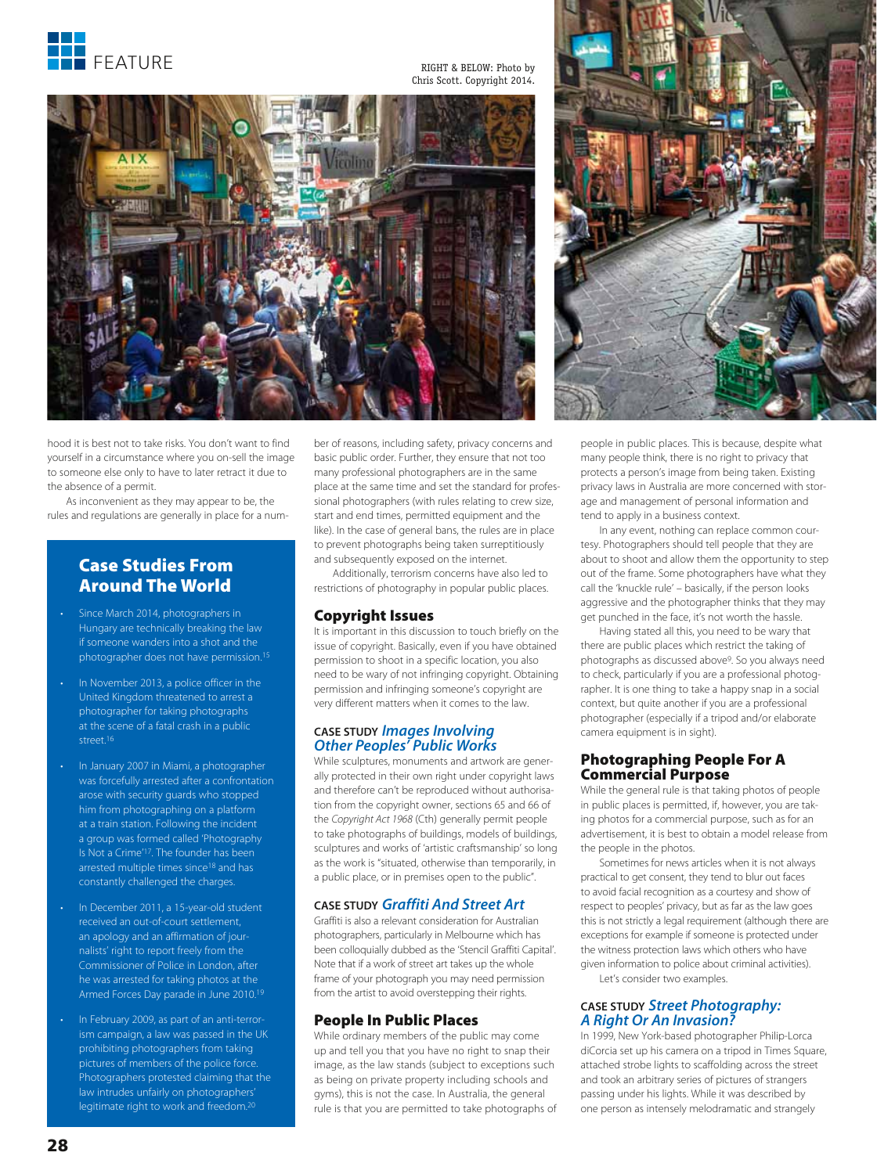

RIGHT & BELOW: Photo by Chris Scott. Copyright 2014.



hood it is best not to take risks. You don't want to find yourself in a circumstance where you on-sell the image to someone else only to have to later retract it due to the absence of a permit.

As inconvenient as they may appear to be, the rules and regulations are generally in place for a num-

### Case Studies From Around The World

- Since March 2014, photographers in Hungary are technically breaking the law if someone wanders into a shot and the photographer does not have permission.15
- In November 2013, a police officer in the United Kingdom threatened to arrest a photographer for taking photographs at the scene of a fatal crash in a public street.16
- In January 2007 in Miami, a photographer was forcefully arrested after a confrontation arose with security guards who stopped him from photographing on a platform at a train station. Following the incident a group was formed called 'Photography Is Not a Crime'17. The founder has been arrested multiple times since<sup>18</sup> and has constantly challenged the charges.
- In December 2011, a 15-year-old student received an out-of-court settlement, an apology and an affirmation of journalists' right to report freely from the Commissioner of Police in London, after he was arrested for taking photos at the Armed Forces Day parade in June 2010.19
- In February 2009, as part of an anti-terrorism campaign, a law was passed in the UK prohibiting photographers from taking pictures of members of the police force. Photographers protested claiming that the law intrudes unfairly on photographers' legitimate right to work and freedom.20

ber of reasons, including safety, privacy concerns and basic public order. Further, they ensure that not too many professional photographers are in the same place at the same time and set the standard for professional photographers (with rules relating to crew size, start and end times, permitted equipment and the like). In the case of general bans, the rules are in place to prevent photographs being taken surreptitiously and subsequently exposed on the internet.

Additionally, terrorism concerns have also led to restrictions of photography in popular public places.

#### Copyright Issues

It is important in this discussion to touch briefly on the issue of copyright. Basically, even if you have obtained permission to shoot in a specific location, you also need to be wary of not infringing copyright. Obtaining permission and infringing someone's copyright are very different matters when it comes to the law.

## **CASE STUDY** *Images Involving Other Peoples' Public Works*

While sculptures, monuments and artwork are generally protected in their own right under copyright laws and therefore can't be reproduced without authorisation from the copyright owner, sections 65 and 66 of the *Copyright Act 1968* (Cth) generally permit people to take photographs of buildings, models of buildings, sculptures and works of 'artistic craftsmanship' so long as the work is "situated, otherwise than temporarily, in a public place, or in premises open to the public".

#### **CASE STUDY** *Graffiti And Street Art*

Graffiti is also a relevant consideration for Australian photographers, particularly in Melbourne which has been colloquially dubbed as the 'Stencil Graffiti Capital'. Note that if a work of street art takes up the whole frame of your photograph you may need permission from the artist to avoid overstepping their rights.

#### People In Public Places

While ordinary members of the public may come up and tell you that you have no right to snap their image, as the law stands (subject to exceptions such as being on private property including schools and gyms), this is not the case. In Australia, the general rule is that you are permitted to take photographs of



people in public places. This is because, despite what many people think, there is no right to privacy that protects a person's image from being taken. Existing privacy laws in Australia are more concerned with storage and management of personal information and tend to apply in a business context.

In any event, nothing can replace common courtesy. Photographers should tell people that they are about to shoot and allow them the opportunity to step out of the frame. Some photographers have what they call the 'knuckle rule' – basically, if the person looks aggressive and the photographer thinks that they may get punched in the face, it's not worth the hassle.

Having stated all this, you need to be wary that there are public places which restrict the taking of photographs as discussed above9. So you always need to check, particularly if you are a professional photographer. It is one thing to take a happy snap in a social context, but quite another if you are a professional photographer (especially if a tripod and/or elaborate camera equipment is in sight).

#### Photographing People For A Commercial Purpose

While the general rule is that taking photos of people in public places is permitted, if, however, you are taking photos for a commercial purpose, such as for an advertisement, it is best to obtain a model release from the people in the photos.

Sometimes for news articles when it is not always practical to get consent, they tend to blur out faces to avoid facial recognition as a courtesy and show of respect to peoples' privacy, but as far as the law goes this is not strictly a legal requirement (although there are exceptions for example if someone is protected under the witness protection laws which others who have given information to police about criminal activities). Let's consider two examples.

# **CASE STUDY** *Street Photography: A Right Or An Invasion?*

In 1999, New York-based photographer Philip-Lorca diCorcia set up his camera on a tripod in Times Square, attached strobe lights to scaffolding across the street and took an arbitrary series of pictures of strangers passing under his lights. While it was described by one person as intensely melodramatic and strangely